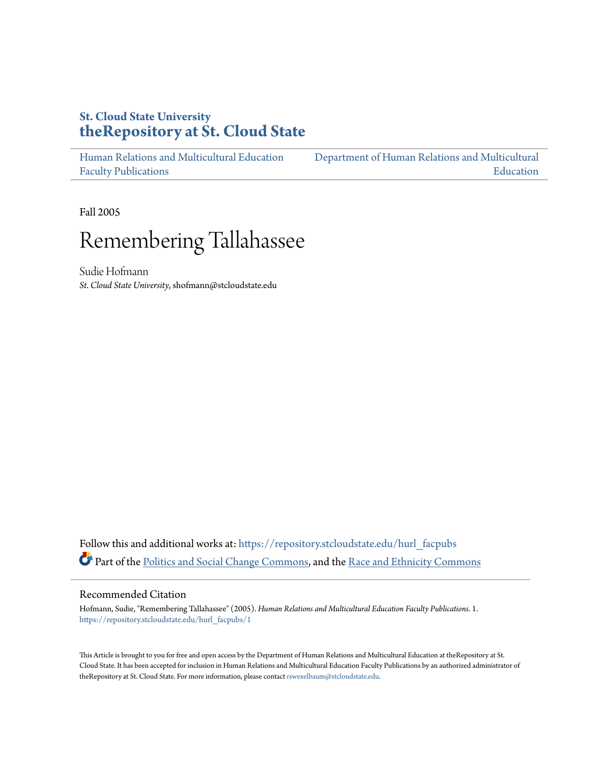### **St. Cloud State University [theRepository at St. Cloud State](https://repository.stcloudstate.edu?utm_source=repository.stcloudstate.edu%2Fhurl_facpubs%2F1&utm_medium=PDF&utm_campaign=PDFCoverPages)**

[Human Relations and Multicultural Education](https://repository.stcloudstate.edu/hurl_facpubs?utm_source=repository.stcloudstate.edu%2Fhurl_facpubs%2F1&utm_medium=PDF&utm_campaign=PDFCoverPages) [Faculty Publications](https://repository.stcloudstate.edu/hurl_facpubs?utm_source=repository.stcloudstate.edu%2Fhurl_facpubs%2F1&utm_medium=PDF&utm_campaign=PDFCoverPages)

[Department of Human Relations and Multicultural](https://repository.stcloudstate.edu/hurl?utm_source=repository.stcloudstate.edu%2Fhurl_facpubs%2F1&utm_medium=PDF&utm_campaign=PDFCoverPages) [Education](https://repository.stcloudstate.edu/hurl?utm_source=repository.stcloudstate.edu%2Fhurl_facpubs%2F1&utm_medium=PDF&utm_campaign=PDFCoverPages)

Fall 2005

# Remembering Tallahassee

Sudie Hofmann *St. Cloud State University*, shofmann@stcloudstate.edu

Follow this and additional works at: [https://repository.stcloudstate.edu/hurl\\_facpubs](https://repository.stcloudstate.edu/hurl_facpubs?utm_source=repository.stcloudstate.edu%2Fhurl_facpubs%2F1&utm_medium=PDF&utm_campaign=PDFCoverPages) Part of the [Politics and Social Change Commons](http://network.bepress.com/hgg/discipline/425?utm_source=repository.stcloudstate.edu%2Fhurl_facpubs%2F1&utm_medium=PDF&utm_campaign=PDFCoverPages), and the [Race and Ethnicity Commons](http://network.bepress.com/hgg/discipline/426?utm_source=repository.stcloudstate.edu%2Fhurl_facpubs%2F1&utm_medium=PDF&utm_campaign=PDFCoverPages)

#### Recommended Citation

Hofmann, Sudie, "Remembering Tallahassee" (2005). *Human Relations and Multicultural Education Faculty Publications*. 1. [https://repository.stcloudstate.edu/hurl\\_facpubs/1](https://repository.stcloudstate.edu/hurl_facpubs/1?utm_source=repository.stcloudstate.edu%2Fhurl_facpubs%2F1&utm_medium=PDF&utm_campaign=PDFCoverPages)

This Article is brought to you for free and open access by the Department of Human Relations and Multicultural Education at theRepository at St. Cloud State. It has been accepted for inclusion in Human Relations and Multicultural Education Faculty Publications by an authorized administrator of theRepository at St. Cloud State. For more information, please contact [rswexelbaum@stcloudstate.edu](mailto:rswexelbaum@stcloudstate.edu).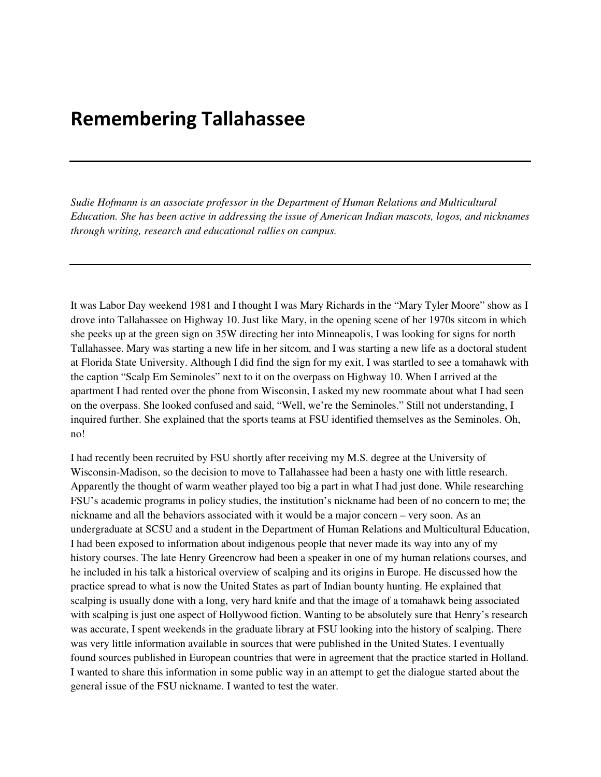## Remembering Tallahassee

*Sudie Hofmann is an associate professor in the Department of Human Relations and Multicultural Education. She has been active in addressing the issue of American Indian mascots, logos, and nicknames through writing, research and educational rallies on campus.* 

It was Labor Day weekend 1981 and I thought I was Mary Richards in the "Mary Tyler Moore" show as I drove into Tallahassee on Highway 10. Just like Mary, in the opening scene of her 1970s sitcom in which she peeks up at the green sign on 35W directing her into Minneapolis, I was looking for signs for north Tallahassee. Mary was starting a new life in her sitcom, and I was starting a new life as a doctoral student at Florida State University. Although I did find the sign for my exit, I was startled to see a tomahawk with the caption "Scalp Em Seminoles" next to it on the overpass on Highway 10. When I arrived at the apartment I had rented over the phone from Wisconsin, I asked my new roommate about what I had seen on the overpass. She looked confused and said, "Well, we're the Seminoles." Still not understanding, I inquired further. She explained that the sports teams at FSU identified themselves as the Seminoles. Oh, no!

I had recently been recruited by FSU shortly after receiving my M.S. degree at the University of Wisconsin-Madison, so the decision to move to Tallahassee had been a hasty one with little research. Apparently the thought of warm weather played too big a part in what I had just done. While researching FSU's academic programs in policy studies, the institution's nickname had been of no concern to me; the nickname and all the behaviors associated with it would be a major concern – very soon. As an undergraduate at SCSU and a student in the Department of Human Relations and Multicultural Education, I had been exposed to information about indigenous people that never made its way into any of my history courses. The late Henry Greencrow had been a speaker in one of my human relations courses, and he included in his talk a historical overview of scalping and its origins in Europe. He discussed how the practice spread to what is now the United States as part of Indian bounty hunting. He explained that scalping is usually done with a long, very hard knife and that the image of a tomahawk being associated with scalping is just one aspect of Hollywood fiction. Wanting to be absolutely sure that Henry's research was accurate, I spent weekends in the graduate library at FSU looking into the history of scalping. There was very little information available in sources that were published in the United States. I eventually found sources published in European countries that were in agreement that the practice started in Holland. I wanted to share this information in some public way in an attempt to get the dialogue started about the general issue of the FSU nickname. I wanted to test the water.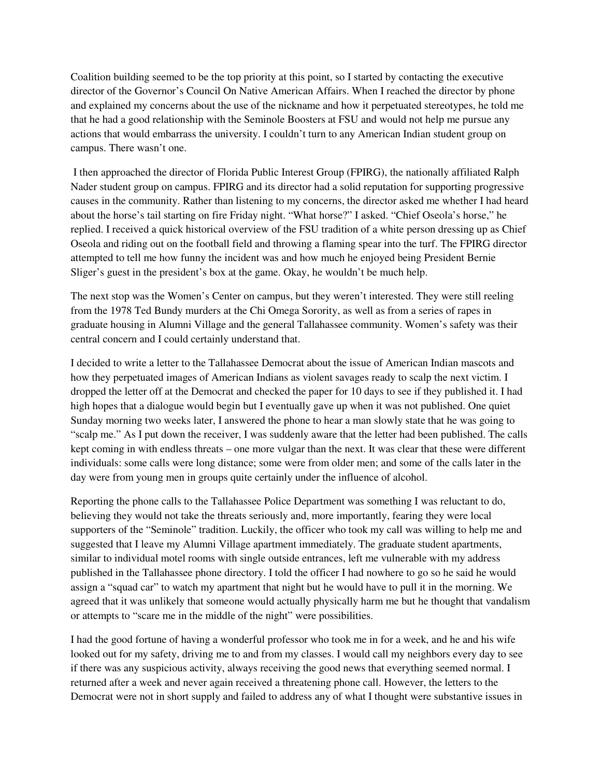Coalition building seemed to be the top priority at this point, so I started by contacting the executive director of the Governor's Council On Native American Affairs. When I reached the director by phone and explained my concerns about the use of the nickname and how it perpetuated stereotypes, he told me that he had a good relationship with the Seminole Boosters at FSU and would not help me pursue any actions that would embarrass the university. I couldn't turn to any American Indian student group on campus. There wasn't one.

 I then approached the director of Florida Public Interest Group (FPIRG), the nationally affiliated Ralph Nader student group on campus. FPIRG and its director had a solid reputation for supporting progressive causes in the community. Rather than listening to my concerns, the director asked me whether I had heard about the horse's tail starting on fire Friday night. "What horse?" I asked. "Chief Oseola's horse," he replied. I received a quick historical overview of the FSU tradition of a white person dressing up as Chief Oseola and riding out on the football field and throwing a flaming spear into the turf. The FPIRG director attempted to tell me how funny the incident was and how much he enjoyed being President Bernie Sliger's guest in the president's box at the game. Okay, he wouldn't be much help.

The next stop was the Women's Center on campus, but they weren't interested. They were still reeling from the 1978 Ted Bundy murders at the Chi Omega Sorority, as well as from a series of rapes in graduate housing in Alumni Village and the general Tallahassee community. Women's safety was their central concern and I could certainly understand that.

I decided to write a letter to the Tallahassee Democrat about the issue of American Indian mascots and how they perpetuated images of American Indians as violent savages ready to scalp the next victim. I dropped the letter off at the Democrat and checked the paper for 10 days to see if they published it. I had high hopes that a dialogue would begin but I eventually gave up when it was not published. One quiet Sunday morning two weeks later, I answered the phone to hear a man slowly state that he was going to "scalp me." As I put down the receiver, I was suddenly aware that the letter had been published. The calls kept coming in with endless threats – one more vulgar than the next. It was clear that these were different individuals: some calls were long distance; some were from older men; and some of the calls later in the day were from young men in groups quite certainly under the influence of alcohol.

Reporting the phone calls to the Tallahassee Police Department was something I was reluctant to do, believing they would not take the threats seriously and, more importantly, fearing they were local supporters of the "Seminole" tradition. Luckily, the officer who took my call was willing to help me and suggested that I leave my Alumni Village apartment immediately. The graduate student apartments, similar to individual motel rooms with single outside entrances, left me vulnerable with my address published in the Tallahassee phone directory. I told the officer I had nowhere to go so he said he would assign a "squad car" to watch my apartment that night but he would have to pull it in the morning. We agreed that it was unlikely that someone would actually physically harm me but he thought that vandalism or attempts to "scare me in the middle of the night" were possibilities.

I had the good fortune of having a wonderful professor who took me in for a week, and he and his wife looked out for my safety, driving me to and from my classes. I would call my neighbors every day to see if there was any suspicious activity, always receiving the good news that everything seemed normal. I returned after a week and never again received a threatening phone call. However, the letters to the Democrat were not in short supply and failed to address any of what I thought were substantive issues in